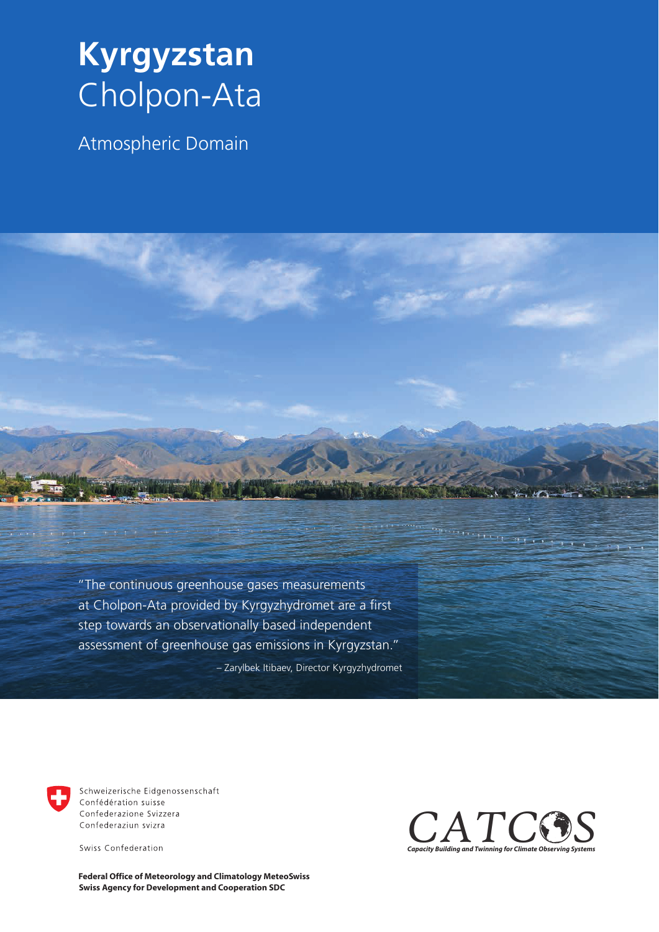## **Kyrgyzstan**  Cholpon-Ata

Atmospheric Domain

"The continuous greenhouse gases measurements at Cholpon-Ata provided by Kyrgyzhydromet are a first step towards an observationally based independent assessment of greenhouse gas emissions in Kyrgyzstan."

– Zarylbek Itibaev, Director Kyrgyzhydromet



Schweizerische Eidgenossenschaft Confédération suisse Confederazione Svizzera Confederaziun svizra

Swiss Confederation

**Swiss Agency for Development and Cooperation SDC Federal Office of Meteorology and Climatology MeteoSwiss**



enouvellen nie gigen